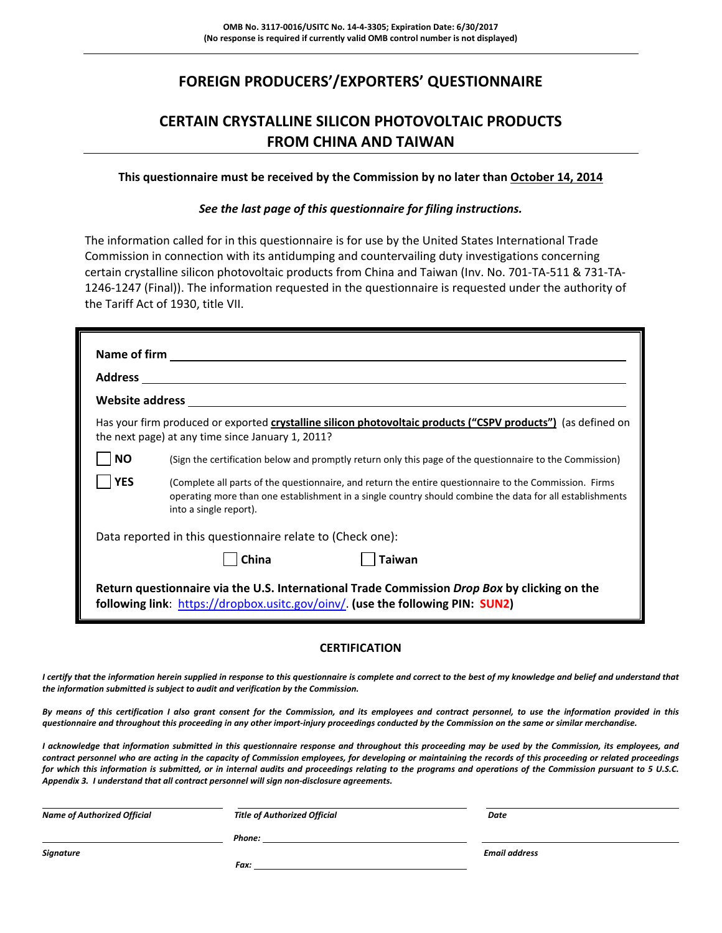# **FOREIGN PRODUCERS'/EXPORTERS' QUESTIONNAIRE**

# **CERTAIN CRYSTALLINE SILICON PHOTOVOLTAIC PRODUCTS FROM CHINA AND TAIWAN**

#### **This questionnaire must be received by the Commission by no later than October 14, 2014**

*See the last page of this questionnaire for filing instructions.*

The information called for in this questionnaire is for use by the United States International Trade Commission in connection with its antidumping and countervailing duty investigations concerning certain crystalline silicon photovoltaic products from China and Taiwan (Inv. No. 701‐TA‐511 & 731‐TA‐ 1246‐1247 (Final)). The information requested in the questionnaire is requested under the authority of the Tariff Act of 1930, title VII.

|                                                                                                                                                                                | <b>Website address and the control of the control of the control of the control of the control of the control of the control of the control of the control of the control of the control of the control of the control of the co</b>         |  |  |
|--------------------------------------------------------------------------------------------------------------------------------------------------------------------------------|----------------------------------------------------------------------------------------------------------------------------------------------------------------------------------------------------------------------------------------------|--|--|
|                                                                                                                                                                                | Has your firm produced or exported crystalline silicon photovoltaic products ("CSPV products") (as defined on<br>the next page) at any time since January 1, 2011?                                                                           |  |  |
| <b>NO</b>                                                                                                                                                                      | (Sign the certification below and promptly return only this page of the questionnaire to the Commission)                                                                                                                                     |  |  |
| <b>YES</b>                                                                                                                                                                     | (Complete all parts of the questionnaire, and return the entire questionnaire to the Commission. Firms<br>operating more than one establishment in a single country should combine the data for all establishments<br>into a single report). |  |  |
|                                                                                                                                                                                | Data reported in this questionnaire relate to (Check one):                                                                                                                                                                                   |  |  |
|                                                                                                                                                                                | <b>Taiwan</b><br>China                                                                                                                                                                                                                       |  |  |
| Return questionnaire via the U.S. International Trade Commission Drop Box by clicking on the<br>following link: https://dropbox.usitc.gov/oinv/. (use the following PIN: SUN2) |                                                                                                                                                                                                                                              |  |  |

#### **CERTIFICATION**

I certify that the information herein supplied in response to this questionnaire is complete and correct to the best of my knowledge and belief and understand that *the information submitted is subject to audit and verification by the Commission.*

By means of this certification I also grant consent for the Commission, and its employees and contract personnel, to use the information provided in this questionnaire and throughout this proceeding in any other import-injury proceedings conducted by the Commission on the same or similar merchandise.

I acknowledge that information submitted in this questionnaire response and throughout this proceeding may be used by the Commission, its employees, and contract personnel who are acting in the capacity of Commission employees, for developing or maintaining the records of this proceeding or related proceedings for which this information is submitted, or in internal audits and proceedings relating to the programs and operations of the Commission pursuant to 5 U.S.C. *Appendix 3. I understand that all contract personnel will sign non‐disclosure agreements.*

| <b>Name of Authorized Official</b> | <b>Title of Authorized Official</b> | Date                 |
|------------------------------------|-------------------------------------|----------------------|
|                                    | Phone:                              |                      |
| Signature                          |                                     | <b>Email address</b> |
|                                    | Fax:                                |                      |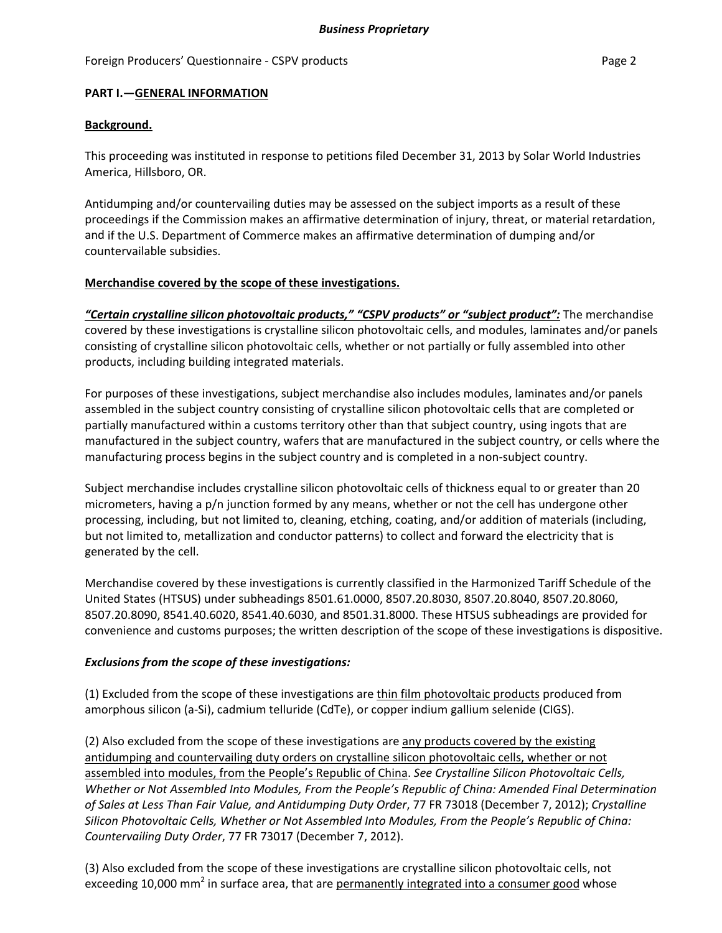#### Foreign Producers' Questionnaire - CSPV products **Page 2** and the page 2

#### **PART I.—GENERAL INFORMATION**

#### **Background.**

This proceeding was instituted in response to petitions filed December 31, 2013 by Solar World Industries America, Hillsboro, OR.

Antidumping and/or countervailing duties may be assessed on the subject imports as a result of these proceedings if the Commission makes an affirmative determination of injury, threat, or material retardation, and if the U.S. Department of Commerce makes an affirmative determination of dumping and/or countervailable subsidies.

#### **Merchandise covered by the scope of these investigations.**

*"Certain crystalline silicon photovoltaic products," "CSPV products" or "subject product":* The merchandise covered by these investigations is crystalline silicon photovoltaic cells, and modules, laminates and/or panels consisting of crystalline silicon photovoltaic cells, whether or not partially or fully assembled into other products, including building integrated materials.

For purposes of these investigations, subject merchandise also includes modules, laminates and/or panels assembled in the subject country consisting of crystalline silicon photovoltaic cells that are completed or partially manufactured within a customs territory other than that subject country, using ingots that are manufactured in the subject country, wafers that are manufactured in the subject country, or cells where the manufacturing process begins in the subject country and is completed in a non‐subject country.

Subject merchandise includes crystalline silicon photovoltaic cells of thickness equal to or greater than 20 micrometers, having a p/n junction formed by any means, whether or not the cell has undergone other processing, including, but not limited to, cleaning, etching, coating, and/or addition of materials (including, but not limited to, metallization and conductor patterns) to collect and forward the electricity that is generated by the cell.

Merchandise covered by these investigations is currently classified in the Harmonized Tariff Schedule of the United States (HTSUS) under subheadings 8501.61.0000, 8507.20.8030, 8507.20.8040, 8507.20.8060, 8507.20.8090, 8541.40.6020, 8541.40.6030, and 8501.31.8000. These HTSUS subheadings are provided for convenience and customs purposes; the written description of the scope of these investigations is dispositive.

### *Exclusions from the scope of these investigations:*

(1) Excluded from the scope of these investigations are thin film photovoltaic products produced from amorphous silicon (a‐Si), cadmium telluride (CdTe), or copper indium gallium selenide (CIGS).

(2) Also excluded from the scope of these investigations are any products covered by the existing antidumping and countervailing duty orders on crystalline silicon photovoltaic cells, whether or not assembled into modules, from the People's Republic of China. *See Crystalline Silicon Photovoltaic Cells, Whether or Not Assembled Into Modules, From the People's Republic of China: Amended Final Determination of Sales at Less Than Fair Value, and Antidumping Duty Order*, 77 FR 73018 (December 7, 2012); *Crystalline Silicon Photovoltaic Cells, Whether or Not Assembled Into Modules, From the People's Republic of China: Countervailing Duty Order*, 77 FR 73017 (December 7, 2012).

(3) Also excluded from the scope of these investigations are crystalline silicon photovoltaic cells, not exceeding 10,000 mm<sup>2</sup> in surface area, that are permanently integrated into a consumer good whose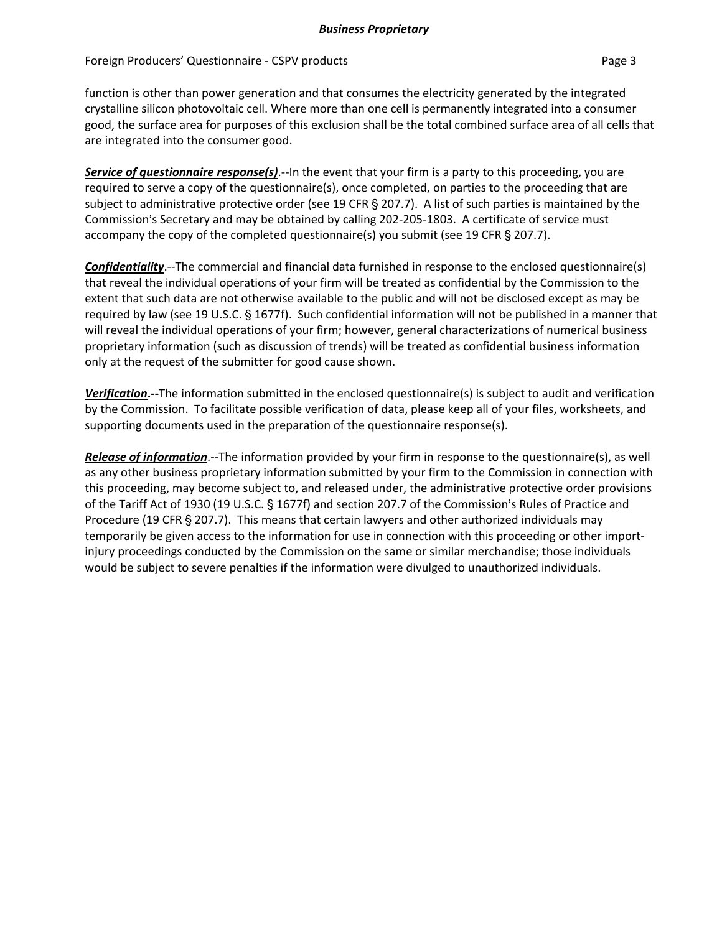Foreign Producers' Questionnaire - CSPV products **Page 3** Page 3

function is other than power generation and that consumes the electricity generated by the integrated crystalline silicon photovoltaic cell. Where more than one cell is permanently integrated into a consumer good, the surface area for purposes of this exclusion shall be the total combined surface area of all cells that are integrated into the consumer good.

*Service of questionnaire response(s)*.‐‐In the event that your firm is a party to this proceeding, you are required to serve a copy of the questionnaire(s), once completed, on parties to the proceeding that are subject to administrative protective order (see 19 CFR § 207.7). A list of such parties is maintained by the Commission's Secretary and may be obtained by calling 202-205-1803. A certificate of service must accompany the copy of the completed questionnaire(s) you submit (see 19 CFR  $\S$  207.7).

*Confidentiality*.‐‐The commercial and financial data furnished in response to the enclosed questionnaire(s) that reveal the individual operations of your firm will be treated as confidential by the Commission to the extent that such data are not otherwise available to the public and will not be disclosed except as may be required by law (see 19 U.S.C. § 1677f). Such confidential information will not be published in a manner that will reveal the individual operations of your firm; however, general characterizations of numerical business proprietary information (such as discussion of trends) will be treated as confidential business information only at the request of the submitter for good cause shown.

*Verification***.‐‐**The information submitted in the enclosed questionnaire(s) is subject to audit and verification by the Commission. To facilitate possible verification of data, please keep all of your files, worksheets, and supporting documents used in the preparation of the questionnaire response(s).

*Release of information*.‐‐The information provided by your firm in response to the questionnaire(s), as well as any other business proprietary information submitted by your firm to the Commission in connection with this proceeding, may become subject to, and released under, the administrative protective order provisions of the Tariff Act of 1930 (19 U.S.C. § 1677f) and section 207.7 of the Commission's Rules of Practice and Procedure (19 CFR § 207.7). This means that certain lawyers and other authorized individuals may temporarily be given access to the information for use in connection with this proceeding or other import‐ injury proceedings conducted by the Commission on the same or similar merchandise; those individuals would be subject to severe penalties if the information were divulged to unauthorized individuals.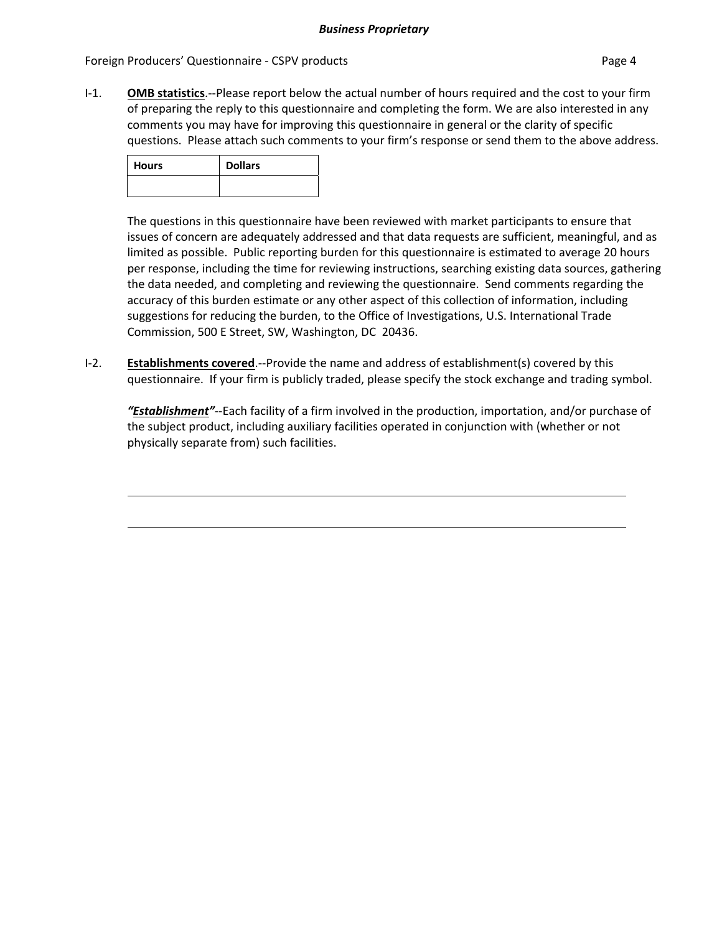#### Foreign Producers' Questionnaire - CSPV products **Page 4** and the page 4

I‐1. **OMB statistics**.‐‐Please report below the actual number of hours required and the cost to your firm of preparing the reply to this questionnaire and completing the form. We are also interested in any comments you may have for improving this questionnaire in general or the clarity of specific questions. Please attach such comments to your firm's response or send them to the above address.

| <b>Hours</b> | <b>Dollars</b> |
|--------------|----------------|
|              |                |

The questions in this questionnaire have been reviewed with market participants to ensure that issues of concern are adequately addressed and that data requests are sufficient, meaningful, and as limited as possible. Public reporting burden for this questionnaire is estimated to average 20 hours per response, including the time for reviewing instructions, searching existing data sources, gathering the data needed, and completing and reviewing the questionnaire. Send comments regarding the accuracy of this burden estimate or any other aspect of this collection of information, including suggestions for reducing the burden, to the Office of Investigations, U.S. International Trade Commission, 500 E Street, SW, Washington, DC 20436.

I‐2. **Establishments covered**.‐‐Provide the name and address of establishment(s) covered by this questionnaire. If your firm is publicly traded, please specify the stock exchange and trading symbol.

*"Establishment"*‐‐Each facility of a firm involved in the production, importation, and/or purchase of the subject product, including auxiliary facilities operated in conjunction with (whether or not physically separate from) such facilities.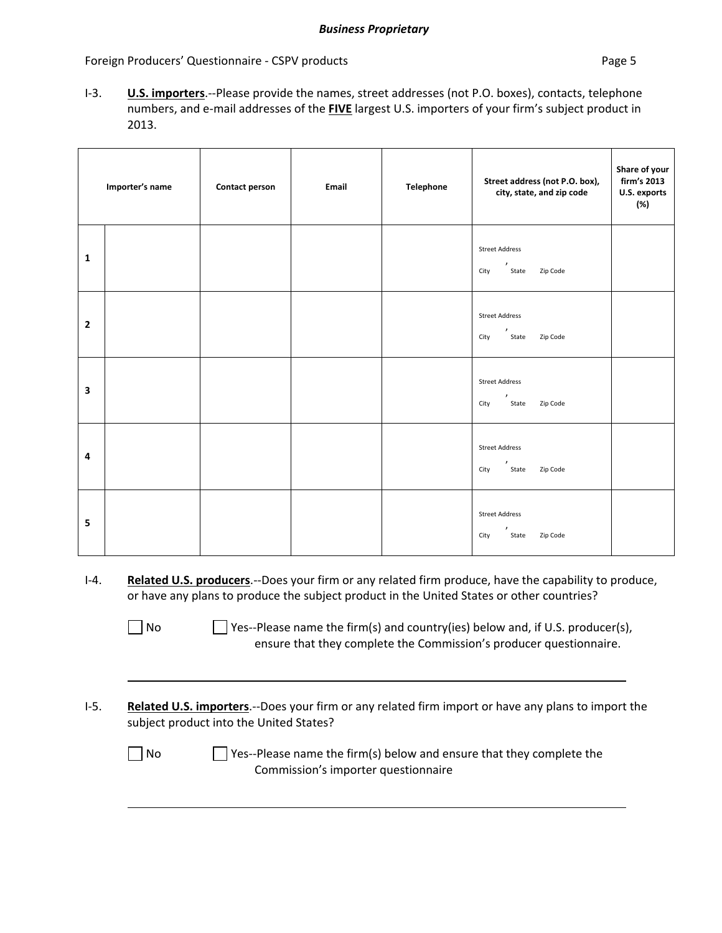Foreign Producers' Questionnaire - CSPV products **Page 5** and Page 5

I‐3. **U.S. importers**.‐‐Please provide the names, street addresses (not P.O. boxes), contacts, telephone numbers, and e‐mail addresses of the **FIVE** largest U.S. importers of your firm's subject product in 2013.

|                | Importer's name | Contact person | Email | Telephone | Street address (not P.O. box),<br>city, state, and zip code     | Share of your<br>firm's 2013<br>U.S. exports<br>(%) |
|----------------|-----------------|----------------|-------|-----------|-----------------------------------------------------------------|-----------------------------------------------------|
| $\mathbf{1}$   |                 |                |       |           | <b>Street Address</b><br>$\lambda$<br>State Zip Code<br>City    |                                                     |
| $\overline{2}$ |                 |                |       |           | <b>Street Address</b><br>$\lambda$<br>State Zip Code<br>City    |                                                     |
| 3              |                 |                |       |           | <b>Street Address</b><br>,<br>Zip Code<br>State<br>City         |                                                     |
| 4              |                 |                |       |           | <b>Street Address</b><br>$\lambda$<br>Zip Code<br>State<br>City |                                                     |
| 5              |                 |                |       |           | <b>Street Address</b><br>,<br>Zip Code<br>State<br>City         |                                                     |

I‐4. **Related U.S. producers**.‐‐Does your firm or any related firm produce, have the capability to produce, or have any plans to produce the subject product in the United States or other countries?

 $\Box$  No  $\Box$  Yes--Please name the firm(s) and country(ies) below and, if U.S. producer(s), ensure that they complete the Commission's producer questionnaire.

I‐5. **Related U.S. importers**.‐‐Does your firm or any related firm import or have any plans to import the subject product into the United States?

 $\Box$  No  $\Box$  Yes--Please name the firm(s) below and ensure that they complete the Commission's importer questionnaire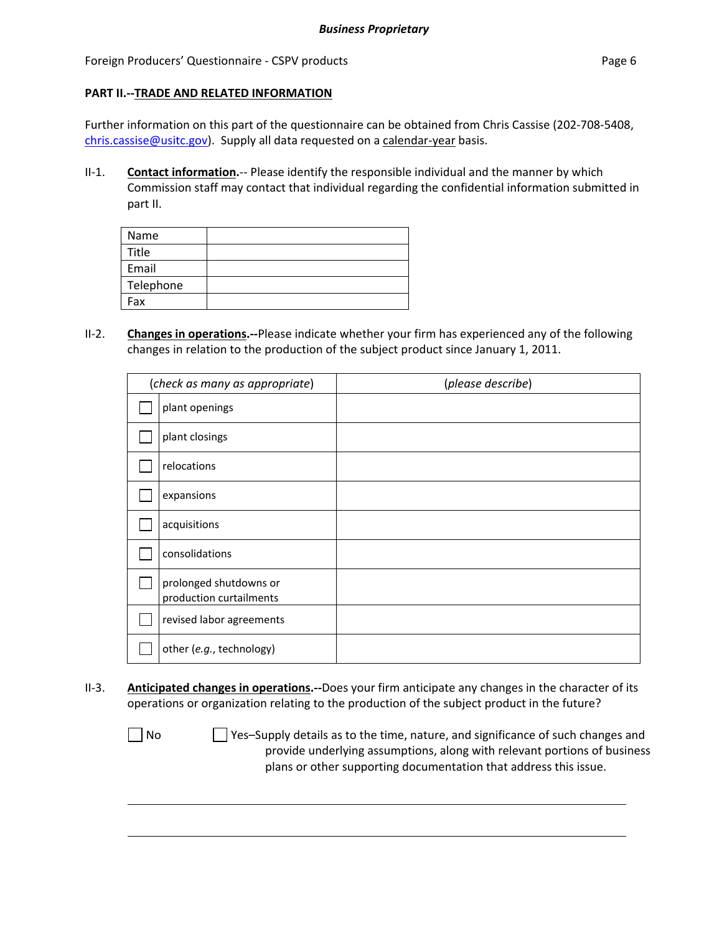Foreign Producers' Questionnaire - CSPV products **Page 6** and the extendion page 6

#### **PART II.‐‐TRADE AND RELATED INFORMATION**

Further information on this part of the questionnaire can be obtained from Chris Cassise (202-708-5408, chris.cassise@usitc.gov). Supply all data requested on a calendar-year basis.

II‐1. **Contact information.**‐‐ Please identify the responsible individual and the manner by which Commission staff may contact that individual regarding the confidential information submitted in part II.

| Name      |  |
|-----------|--|
| Title     |  |
| Email     |  |
| Telephone |  |
| Fax       |  |

II‐2. **Changes in operations.‐‐**Please indicate whether your firm has experienced any of the following changes in relation to the production of the subject product since January 1, 2011.

| (check as many as appropriate)                    | (please describe) |
|---------------------------------------------------|-------------------|
| plant openings                                    |                   |
| plant closings                                    |                   |
| relocations                                       |                   |
| expansions                                        |                   |
| acquisitions                                      |                   |
| consolidations                                    |                   |
| prolonged shutdowns or<br>production curtailments |                   |
| revised labor agreements                          |                   |
| other (e.g., technology)                          |                   |

II‐3. **Anticipated changes in operations.‐‐**Does your firm anticipate any changes in the character of its operations or organization relating to the production of the subject product in the future?

 $\Box$  No  $\Box$  Yes–Supply details as to the time, nature, and significance of such changes and provide underlying assumptions, along with relevant portions of business plans or other supporting documentation that address this issue.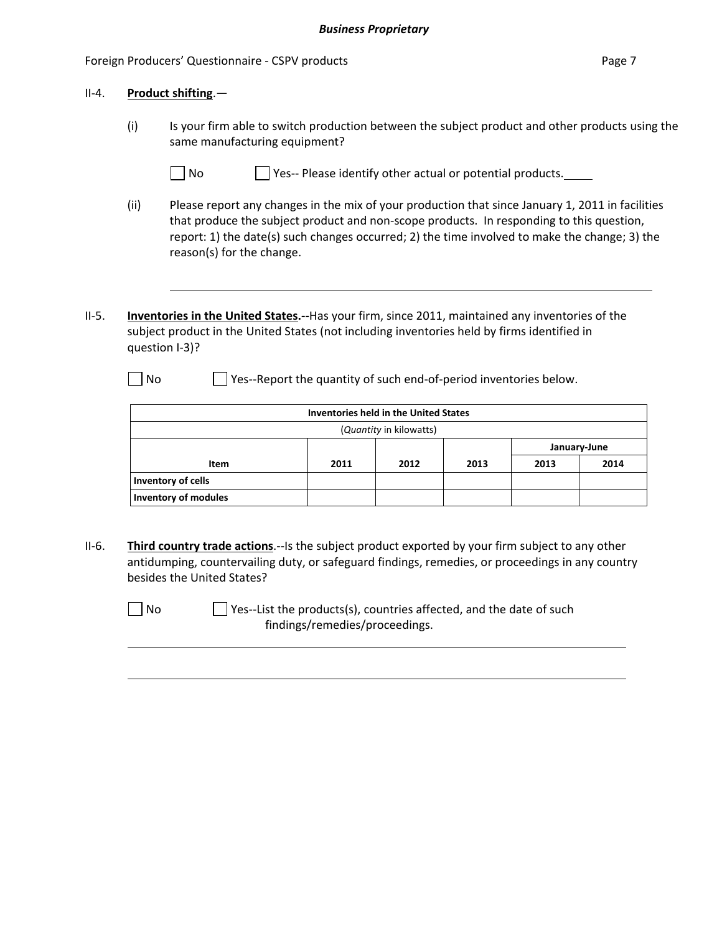|         |      | Foreign Producers' Questionnaire - CSPV products                                                                                                                                                                                                                                                                           |                                                                   |                         |      |      |              |
|---------|------|----------------------------------------------------------------------------------------------------------------------------------------------------------------------------------------------------------------------------------------------------------------------------------------------------------------------------|-------------------------------------------------------------------|-------------------------|------|------|--------------|
| $II-4.$ |      | Product shifting.-                                                                                                                                                                                                                                                                                                         |                                                                   |                         |      |      |              |
|         | (i)  | Is your firm able to switch production between the subject product and other products using the<br>same manufacturing equipment?                                                                                                                                                                                           |                                                                   |                         |      |      |              |
|         |      | No                                                                                                                                                                                                                                                                                                                         | Yes-- Please identify other actual or potential products.         |                         |      |      |              |
|         | (ii) | Please report any changes in the mix of your production that since January 1, 2011 in facilities<br>that produce the subject product and non-scope products. In responding to this question,<br>report: 1) the date(s) such changes occurred; 2) the time involved to make the change; 3) the<br>reason(s) for the change. |                                                                   |                         |      |      |              |
|         |      |                                                                                                                                                                                                                                                                                                                            |                                                                   |                         |      |      |              |
| $II-5.$ |      | Inventories in the United States.--Has your firm, since 2011, maintained any inventories of the<br>subject product in the United States (not including inventories held by firms identified in<br>question I-3)?                                                                                                           |                                                                   |                         |      |      |              |
|         | No   |                                                                                                                                                                                                                                                                                                                            | Yes--Report the quantity of such end-of-period inventories below. |                         |      |      |              |
|         |      |                                                                                                                                                                                                                                                                                                                            | <b>Inventories held in the United States</b>                      |                         |      |      |              |
|         |      |                                                                                                                                                                                                                                                                                                                            |                                                                   | (Quantity in kilowatts) |      |      |              |
|         |      |                                                                                                                                                                                                                                                                                                                            |                                                                   |                         |      |      | January-June |
|         |      | <b>Item</b>                                                                                                                                                                                                                                                                                                                | 2011                                                              | 2012                    | 2013 | 2013 | 2014         |
|         |      | <b>Inventory of cells</b><br><b>Inventory of modules</b>                                                                                                                                                                                                                                                                   |                                                                   |                         |      |      |              |

II‐6. **Third country trade actions**.‐‐Is the subject product exported by your firm subject to any other antidumping, countervailing duty, or safeguard findings, remedies, or proceedings in any country besides the United States?

□ No Yes--List the products(s), countries affected, and the date of such findings/remedies/proceedings.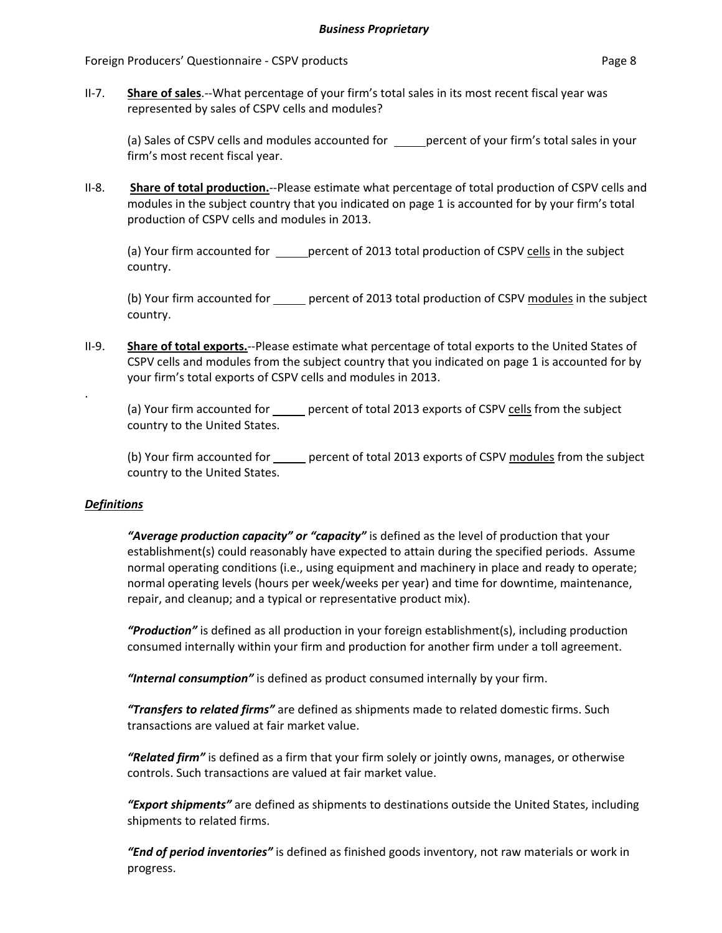Foreign Producers' Questionnaire - CSPV products **Page 8** and the extendion page 8

II‐7. **Share of sales**.‐‐What percentage of your firm's total sales in its most recent fiscal year was represented by sales of CSPV cells and modules?

(a) Sales of CSPV cells and modules accounted for <u>eaging</u> percent of your firm's total sales in your firm's most recent fiscal year.

II‐8. **Share of total production.**‐‐Please estimate what percentage of total production of CSPV cells and modules in the subject country that you indicated on page 1 is accounted for by your firm's total production of CSPV cells and modules in 2013.

(a) Your firm accounted for \_\_\_\_\_\_ percent of 2013 total production of CSPV cells in the subject country.

(b) Your firm accounted for exercent of 2013 total production of CSPV modules in the subject country.

II‐9. **Share of total exports.**‐‐Please estimate what percentage of total exports to the United States of CSPV cells and modules from the subject country that you indicated on page 1 is accounted for by your firm's total exports of CSPV cells and modules in 2013.

(a) Your firm accounted for \_\_\_\_\_ percent of total 2013 exports of CSPV cells from the subject country to the United States.

(b) Your firm accounted for \_\_\_\_\_ percent of total 2013 exports of CSPV modules from the subject country to the United States.

### *Definitions*

.

*"Average production capacity" or "capacity"* is defined as the level of production that your establishment(s) could reasonably have expected to attain during the specified periods. Assume normal operating conditions (i.e., using equipment and machinery in place and ready to operate; normal operating levels (hours per week/weeks per year) and time for downtime, maintenance, repair, and cleanup; and a typical or representative product mix).

*"Production"* is defined as all production in your foreign establishment(s), including production consumed internally within your firm and production for another firm under a toll agreement.

*"Internal consumption"* is defined as product consumed internally by your firm.

*"Transfers to related firms"* are defined as shipments made to related domestic firms. Such transactions are valued at fair market value.

*"Related firm"* is defined as a firm that your firm solely or jointly owns, manages, or otherwise controls. Such transactions are valued at fair market value.

*"Export shipments"* are defined as shipments to destinations outside the United States, including shipments to related firms.

*"End of period inventories"* is defined as finished goods inventory, not raw materials or work in progress.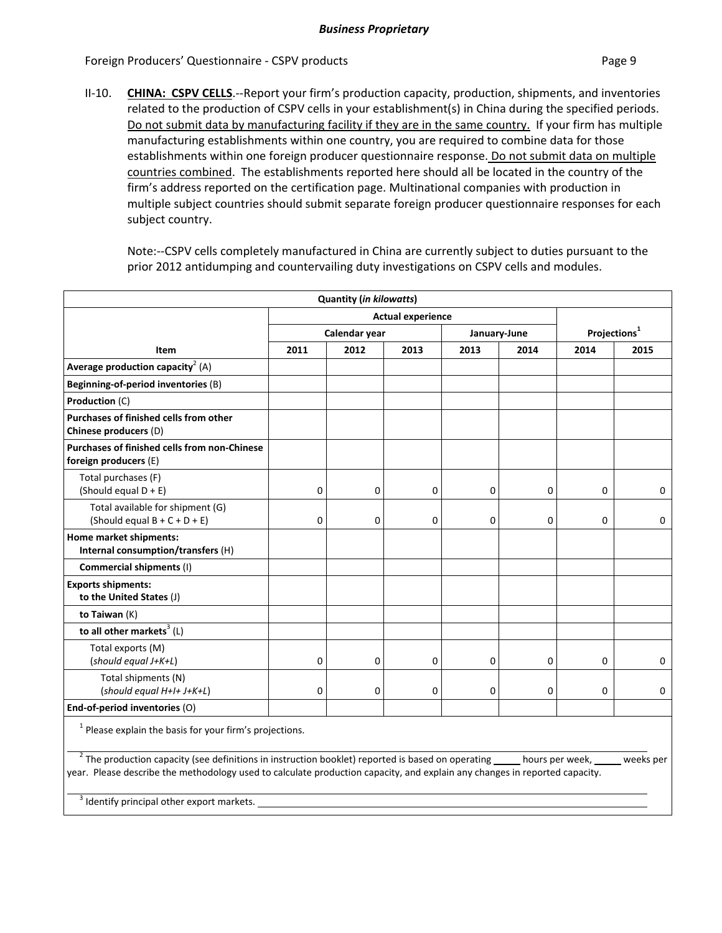Foreign Producers' Questionnaire ‐ CSPV products Page 9

II‐10. **CHINA: CSPV CELLS**.‐‐Report your firm's production capacity, production, shipments, and inventories related to the production of CSPV cells in your establishment(s) in China during the specified periods. Do not submit data by manufacturing facility if they are in the same country. If your firm has multiple manufacturing establishments within one country, you are required to combine data for those establishments within one foreign producer questionnaire response. Do not submit data on multiple countries combined. The establishments reported here should all be located in the country of the firm's address reported on the certification page. Multinational companies with production in multiple subject countries should submit separate foreign producer questionnaire responses for each subject country.

Note:‐‐CSPV cells completely manufactured in China are currently subject to duties pursuant to the prior 2012 antidumping and countervailing duty investigations on CSPV cells and modules.

|                                                                       |                          | <b>Quantity (in kilowatts)</b> |              |             |                          |          |             |
|-----------------------------------------------------------------------|--------------------------|--------------------------------|--------------|-------------|--------------------------|----------|-------------|
|                                                                       | <b>Actual experience</b> |                                |              |             |                          |          |             |
|                                                                       | Calendar year            |                                | January-June |             | Projections <sup>1</sup> |          |             |
| Item                                                                  | 2011                     | 2012                           | 2013         | 2013        | 2014                     | 2014     | 2015        |
| Average production capacity <sup>2</sup> (A)                          |                          |                                |              |             |                          |          |             |
| Beginning-of-period inventories (B)                                   |                          |                                |              |             |                          |          |             |
| Production (C)                                                        |                          |                                |              |             |                          |          |             |
| Purchases of finished cells from other<br>Chinese producers (D)       |                          |                                |              |             |                          |          |             |
| Purchases of finished cells from non-Chinese<br>foreign producers (E) |                          |                                |              |             |                          |          |             |
| Total purchases (F)<br>(Should equal $D + E$ )                        | 0                        | 0                              | 0            | 0           | $\mathbf 0$              | 0        | $\mathbf 0$ |
| Total available for shipment (G)<br>(Should equal $B + C + D + E$ )   | $\mathbf 0$              | $\mathbf 0$                    | 0            | $\mathbf 0$ | $\Omega$                 | $\Omega$ | 0           |
| Home market shipments:<br>Internal consumption/transfers (H)          |                          |                                |              |             |                          |          |             |
| Commercial shipments (I)                                              |                          |                                |              |             |                          |          |             |
| <b>Exports shipments:</b><br>to the United States (J)                 |                          |                                |              |             |                          |          |             |
| to Taiwan (K)                                                         |                          |                                |              |             |                          |          |             |
| to all other markets <sup>3</sup> (L)                                 |                          |                                |              |             |                          |          |             |
| Total exports (M)<br>(should equal J+K+L)                             | 0                        | 0                              | 0            | 0           | 0                        | $\Omega$ | $\mathbf 0$ |
| Total shipments (N)<br>(should equal H+I+ J+K+L)                      | $\mathbf 0$              | 0                              | 0            | 0           | 0                        | 0        | 0           |
| End-of-period inventories (O)                                         |                          |                                |              |             |                          |          |             |
|                                                                       |                          |                                |              |             |                          |          |             |

 $1$  Please explain the basis for your firm's projections.

<sup>2</sup> The production capacity (see definitions in instruction booklet) reported is based on operating \_\_\_\_\_ hours per week, \_\_\_\_\_ weeks per year. Please describe the methodology used to calculate production capacity, and explain any changes in reported capacity.

<sup>3</sup> Identify principal other export markets.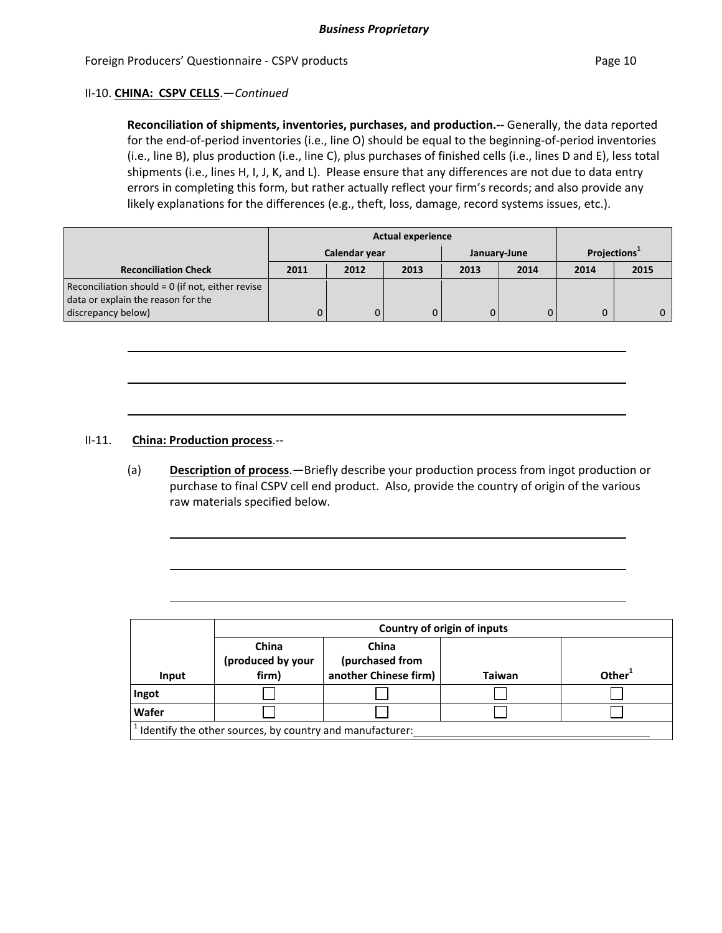#### II‐10. **CHINA: CSPV CELLS**.—*Continued*

**Reconciliation of shipments, inventories, purchases, and production.‐‐** Generally, the data reported for the end-of-period inventories (i.e., line O) should be equal to the beginning-of-period inventories (i.e., line B), plus production (i.e., line C), plus purchases of finished cells (i.e., lines D and E), less total shipments (i.e., lines H, I, J, K, and L). Please ensure that any differences are not due to data entry errors in completing this form, but rather actually reflect your firm's records; and also provide any likely explanations for the differences (e.g., theft, loss, damage, record systems issues, etc.).

|                                                  | <b>Actual experience</b> |      |      |              |      |                          |      |
|--------------------------------------------------|--------------------------|------|------|--------------|------|--------------------------|------|
|                                                  | Calendar year            |      |      | January-June |      | Projections <sup>+</sup> |      |
| <b>Reconciliation Check</b>                      | 2011                     | 2012 | 2013 | 2013         | 2014 | 2014                     | 2015 |
| Reconciliation should = 0 (if not, either revise |                          |      |      |              |      |                          |      |
| data or explain the reason for the               |                          |      |      |              |      |                          |      |
| discrepancy below)                               |                          | 0    |      |              |      |                          |      |

#### II‐11. **China: Production process**.‐‐

(a) **Description of process**.—Briefly describe your production process from ingot production or purchase to final CSPV cell end product. Also, provide the country of origin of the various raw materials specified below.

|                                                          | Country of origin of inputs         |                                                   |               |                    |  |  |
|----------------------------------------------------------|-------------------------------------|---------------------------------------------------|---------------|--------------------|--|--|
| Input                                                    | China<br>(produced by your<br>firm) | China<br>(purchased from<br>another Chinese firm) | <b>Taiwan</b> | Other <sup>1</sup> |  |  |
| Ingot                                                    |                                     |                                                   |               |                    |  |  |
| Wafer                                                    |                                     |                                                   |               |                    |  |  |
| Identify the other sources, by country and manufacturer: |                                     |                                                   |               |                    |  |  |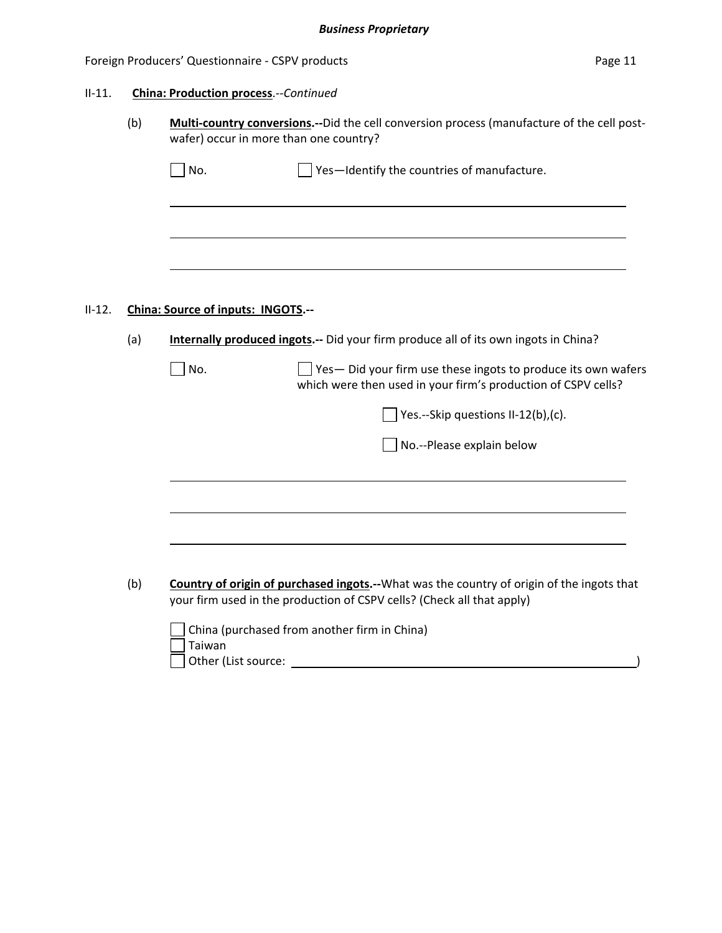#### Foreign Producers' Questionnaire - CSPV products **Page 11** Page 11

#### II‐11. **China: Production process**.‐‐*Continued*

(b) **Multi‐country conversions.‐‐**Did the cell conversion process (manufacture of the cell post‐ wafer) occur in more than one country?

#### II‐12. **China: Source of inputs: INGOTS.‐‐**

(a) **Internally produced ingots.‐‐** Did your firm produce all of its own ingots in China?

| $\Box$ No. | Yes- Did your firm use these ingots to produce its own wafers |
|------------|---------------------------------------------------------------|
|            | which were then used in your firm's production of CSPV cells? |

 $\Box$  Yes.--Skip questions II-12(b),(c).

■ No. -- Please explain below

(b) **Country of origin of purchased ingots.‐‐**What was the country of origin of the ingots that your firm used in the production of CSPV cells? (Check all that apply)

| $\Box$ China (purchased from another firm in China) |
|-----------------------------------------------------|
| Taiwan                                              |
| Other (List source:                                 |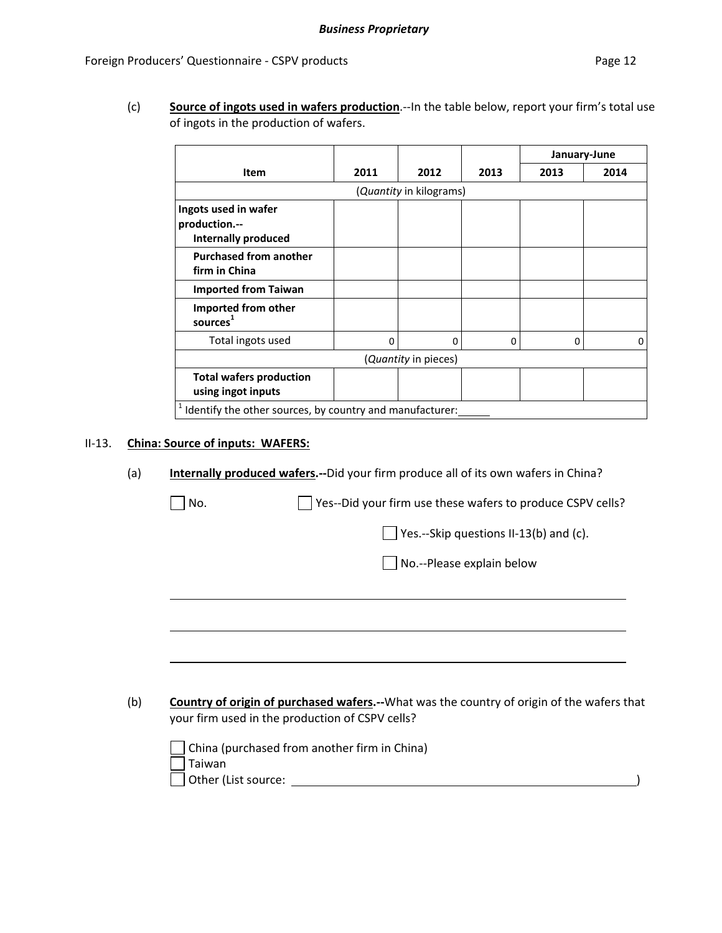(c) **Source of ingots used in wafers production**.‐‐In the table below, report your firm's total use of ingots in the production of wafers.

|                                                          |          |                      |          |      | January-June |  |  |  |
|----------------------------------------------------------|----------|----------------------|----------|------|--------------|--|--|--|
| Item                                                     | 2011     | 2012                 | 2013     | 2013 | 2014         |  |  |  |
| ( <i>Quantity</i> in kilograms)                          |          |                      |          |      |              |  |  |  |
| Ingots used in wafer                                     |          |                      |          |      |              |  |  |  |
| production.--<br><b>Internally produced</b>              |          |                      |          |      |              |  |  |  |
| <b>Purchased from another</b><br>firm in China           |          |                      |          |      |              |  |  |  |
| <b>Imported from Taiwan</b>                              |          |                      |          |      |              |  |  |  |
| Imported from other<br>sources <sup>1</sup>              |          |                      |          |      |              |  |  |  |
| Total ingots used                                        | $\Omega$ | 0                    | $\Omega$ | 0    | 0            |  |  |  |
|                                                          |          | (Quantity in pieces) |          |      |              |  |  |  |
| <b>Total wafers production</b><br>using ingot inputs     |          |                      |          |      |              |  |  |  |
| Identify the other sources, by country and manufacturer: |          |                      |          |      |              |  |  |  |

#### II‐13. **China: Source of inputs: WAFERS:**

(a) **Internally produced wafers.‐‐**Did your firm produce all of its own wafers in China?

| No.                           | Yes--Did your firm use these wafers to produce CSPV cells?                                                                                           |
|-------------------------------|------------------------------------------------------------------------------------------------------------------------------------------------------|
|                               | Yes.--Skip questions II-13(b) and (c).                                                                                                               |
|                               | No.--Please explain below                                                                                                                            |
|                               |                                                                                                                                                      |
|                               |                                                                                                                                                      |
|                               |                                                                                                                                                      |
|                               |                                                                                                                                                      |
|                               | <b>Country of origin of purchased wafers.--</b> What was the country of origin of the wafers that<br>your firm used in the production of CSPV cells? |
|                               | China (purchased from another firm in China)                                                                                                         |
| Taiwan<br>Other (List source: |                                                                                                                                                      |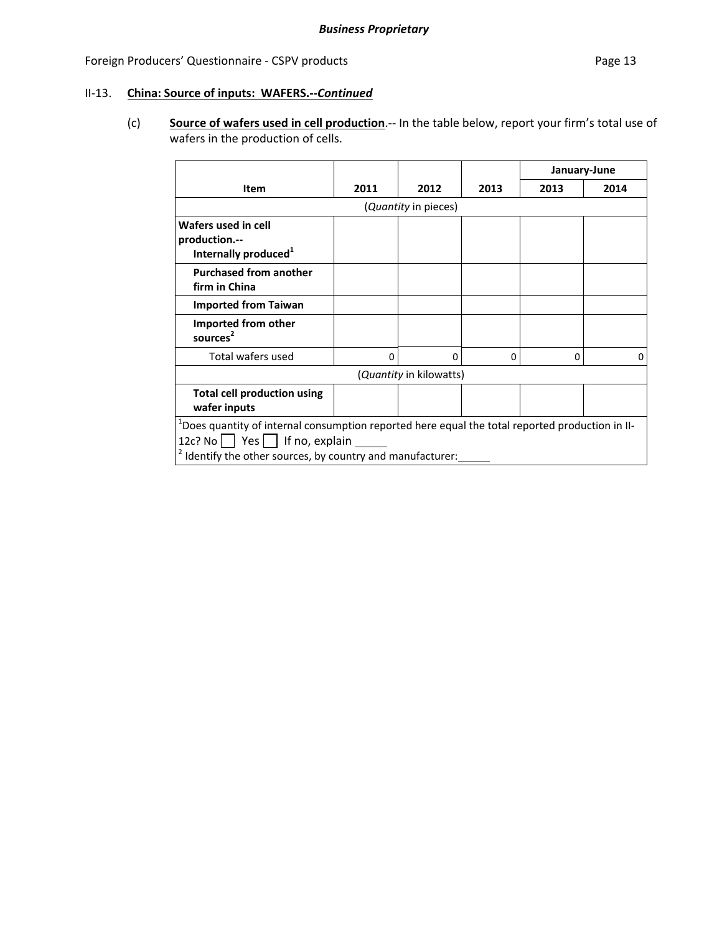## II‐13. **China: Source of inputs: WAFERS.‐‐***Continued*

(c) **Source of wafers used in cell production**.‐‐ In the table below, report your firm's total use of wafers in the production of cells.

|                                                                                                                                                                                                              |      |                                 |      | January-June |      |  |  |
|--------------------------------------------------------------------------------------------------------------------------------------------------------------------------------------------------------------|------|---------------------------------|------|--------------|------|--|--|
| Item                                                                                                                                                                                                         | 2011 | 2012                            | 2013 | 2013         | 2014 |  |  |
|                                                                                                                                                                                                              |      | ( <i>Quantity</i> in pieces)    |      |              |      |  |  |
| Wafers used in cell<br>production.--<br>Internally produced <sup>1</sup>                                                                                                                                     |      |                                 |      |              |      |  |  |
| <b>Purchased from another</b><br>firm in China                                                                                                                                                               |      |                                 |      |              |      |  |  |
| <b>Imported from Taiwan</b>                                                                                                                                                                                  |      |                                 |      |              |      |  |  |
| Imported from other<br>sources                                                                                                                                                                               |      |                                 |      |              |      |  |  |
| Total wafers used                                                                                                                                                                                            | 0    | 0                               | 0    | 0            | 0    |  |  |
|                                                                                                                                                                                                              |      | ( <i>Quantity</i> in kilowatts) |      |              |      |  |  |
| <b>Total cell production using</b><br>wafer inputs                                                                                                                                                           |      |                                 |      |              |      |  |  |
| $1$ Does quantity of internal consumption reported here equal the total reported production in II-<br>12c? No $\vert$ Yes $\vert$ If no, explain<br>Identify the other sources, by country and manufacturer: |      |                                 |      |              |      |  |  |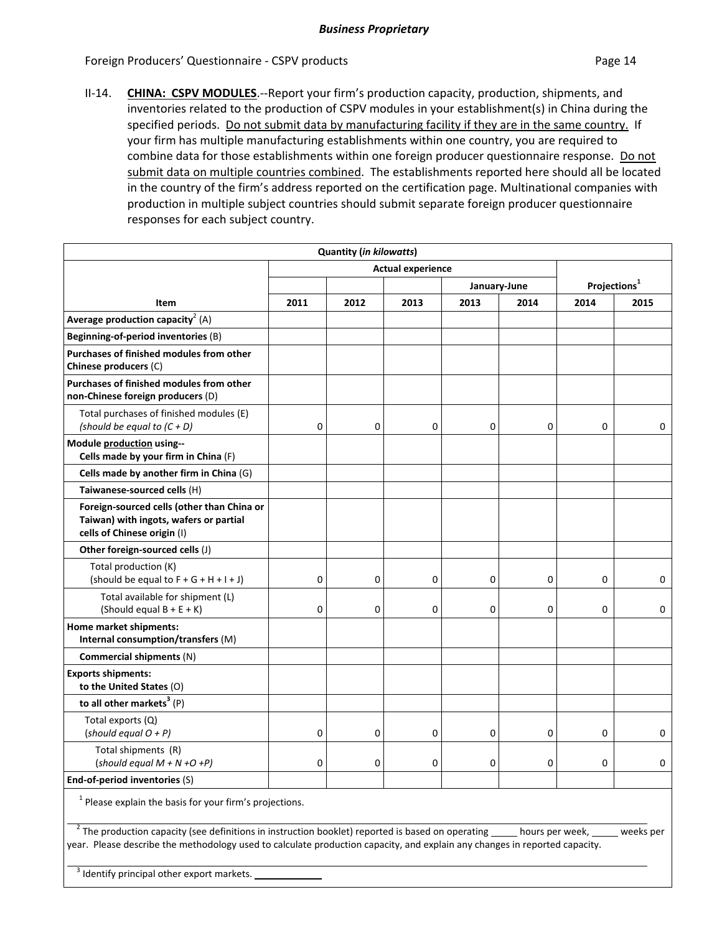Foreign Producers' Questionnaire - CSPV products **Page 14** and the page 14

II‐14. **CHINA: CSPV MODULES**.‐‐Report your firm's production capacity, production, shipments, and inventories related to the production of CSPV modules in your establishment(s) in China during the specified periods. Do not submit data by manufacturing facility if they are in the same country. If your firm has multiple manufacturing establishments within one country, you are required to combine data for those establishments within one foreign producer questionnaire response. Do not submit data on multiple countries combined. The establishments reported here should all be located in the country of the firm's address reported on the certification page. Multinational companies with production in multiple subject countries should submit separate foreign producer questionnaire responses for each subject country.

|                                                                                                                     |             | <b>Quantity (in kilowatts)</b> |                          |             |              |             |                          |  |
|---------------------------------------------------------------------------------------------------------------------|-------------|--------------------------------|--------------------------|-------------|--------------|-------------|--------------------------|--|
|                                                                                                                     |             |                                | <b>Actual experience</b> |             |              |             |                          |  |
|                                                                                                                     |             |                                |                          |             | January-June |             | Projections <sup>1</sup> |  |
| Item                                                                                                                | 2011        | 2012                           | 2013                     | 2013        | 2014         | 2014        | 2015                     |  |
| Average production capacity <sup>2</sup> (A)                                                                        |             |                                |                          |             |              |             |                          |  |
| Beginning-of-period inventories (B)                                                                                 |             |                                |                          |             |              |             |                          |  |
| Purchases of finished modules from other<br>Chinese producers (C)                                                   |             |                                |                          |             |              |             |                          |  |
| Purchases of finished modules from other<br>non-Chinese foreign producers (D)                                       |             |                                |                          |             |              |             |                          |  |
| Total purchases of finished modules (E)<br>(should be equal to $(C + D)$                                            | $\mathbf 0$ | $\mathbf 0$                    | 0                        | 0           | 0            | 0           | 0                        |  |
| Module production using--<br>Cells made by your firm in China (F)                                                   |             |                                |                          |             |              |             |                          |  |
| Cells made by another firm in China (G)                                                                             |             |                                |                          |             |              |             |                          |  |
| Taiwanese-sourced cells (H)                                                                                         |             |                                |                          |             |              |             |                          |  |
| Foreign-sourced cells (other than China or<br>Taiwan) with ingots, wafers or partial<br>cells of Chinese origin (I) |             |                                |                          |             |              |             |                          |  |
| Other foreign-sourced cells (J)                                                                                     |             |                                |                          |             |              |             |                          |  |
| Total production (K)<br>(should be equal to $F + G + H + I + J$ )                                                   | $\mathbf 0$ | $\mathbf 0$                    | 0                        | $\mathbf 0$ | $\mathbf 0$  | $\mathbf 0$ | 0                        |  |
| Total available for shipment (L)<br>(Should equal $B + E + K$ )                                                     | $\mathbf 0$ | $\mathbf 0$                    | 0                        | $\mathbf 0$ | $\mathbf 0$  | $\mathbf 0$ | $\mathbf{0}$             |  |
| Home market shipments:<br>Internal consumption/transfers (M)                                                        |             |                                |                          |             |              |             |                          |  |
| Commercial shipments (N)                                                                                            |             |                                |                          |             |              |             |                          |  |
| <b>Exports shipments:</b><br>to the United States (O)                                                               |             |                                |                          |             |              |             |                          |  |
| to all other markets <sup>3</sup> $(P)$                                                                             |             |                                |                          |             |              |             |                          |  |
| Total exports (Q)<br>(should equal $O + P$ )                                                                        | $\mathbf 0$ | $\mathbf 0$                    | 0                        | 0           | $\mathbf 0$  | 0           | $\mathbf{0}$             |  |
| Total shipments (R)<br>(should equal $M + N + O + P$ )                                                              | $\mathbf 0$ | $\Omega$                       | 0                        | $\mathbf 0$ | $\mathbf 0$  | $\Omega$    | 0                        |  |
| End-of-period inventories (S)                                                                                       |             |                                |                          |             |              |             |                          |  |

 $1$  Please explain the basis for your firm's projections.

<sup>2</sup> The production capacity (see definitions in instruction booklet) reported is based on operating hours per week,  $\Box$  weeks per year. Please describe the methodology used to calculate production capacity, and explain any changes in reported capacity.

<sup>3</sup> Identify principal other export markets.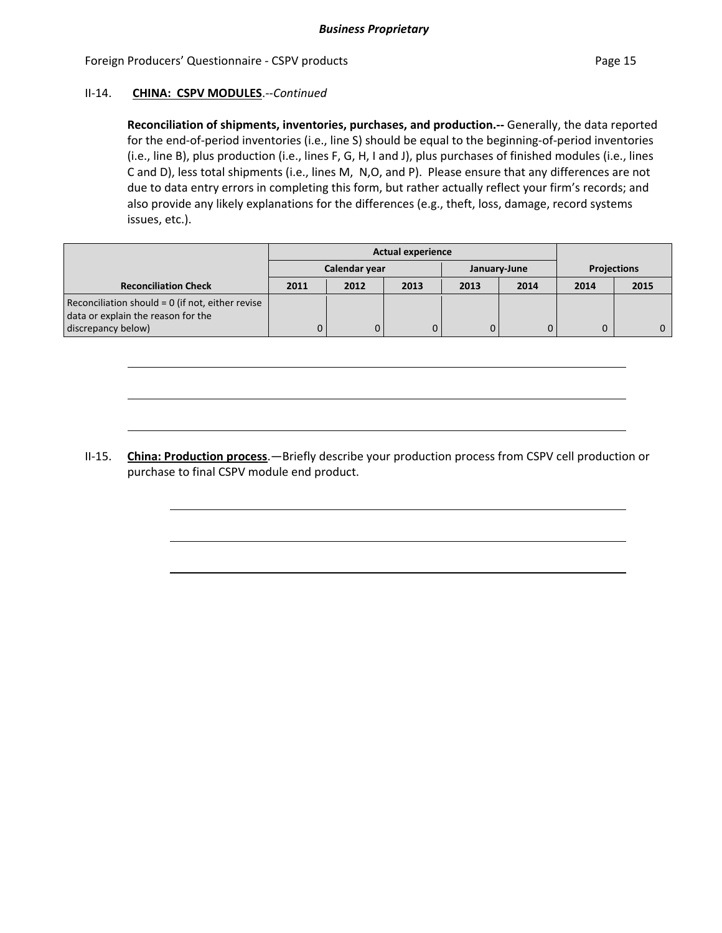#### Foreign Producers' Questionnaire - CSPV products **Page 15** and Page 15

#### II‐14. **CHINA: CSPV MODULES**.‐‐*Continued*

**Reconciliation of shipments, inventories, purchases, and production.‐‐** Generally, the data reported for the end‐of‐period inventories (i.e., line S) should be equal to the beginning‐of‐period inventories (i.e., line B), plus production (i.e., lines F, G, H, I and J), plus purchases of finished modules (i.e., lines C and D), less total shipments (i.e., lines M, N,O, and P). Please ensure that any differences are not due to data entry errors in completing this form, but rather actually reflect your firm's records; and also provide any likely explanations for the differences (e.g., theft, loss, damage, record systems issues, etc.).

|                                                    |               |      | <b>Actual experience</b> |      |              |                    |      |
|----------------------------------------------------|---------------|------|--------------------------|------|--------------|--------------------|------|
|                                                    | Calendar year |      |                          |      | January-June | <b>Projections</b> |      |
| <b>Reconciliation Check</b>                        | 2011          | 2012 | 2013                     | 2013 | 2014         | 2014               | 2015 |
| Reconciliation should $= 0$ (if not, either revise |               |      |                          |      |              |                    |      |
| data or explain the reason for the                 |               |      |                          |      |              |                    |      |
| discrepancy below)                                 |               | 0    | $\Omega$                 |      |              |                    |      |

II‐15. **China: Production process**.—Briefly describe your production process from CSPV cell production or purchase to final CSPV module end product.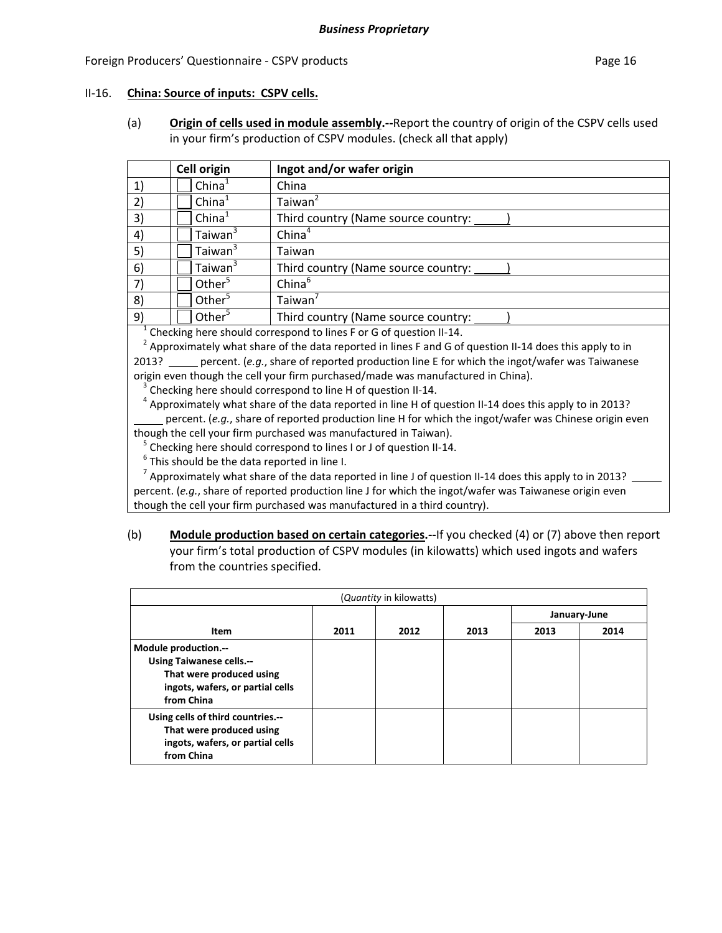#### Foreign Producers' Questionnaire - CSPV products **Page 16** and the page 16 and the page 16

#### II‐16. **China: Source of inputs: CSPV cells.**

(a) **Origin of cells used in module assembly.‐‐**Report the country of origin of the CSPV cells used in your firm's production of CSPV modules. (check all that apply)

|    | <b>Cell origin</b>  | Ingot and/or wafer origin           |
|----|---------------------|-------------------------------------|
| 1) | China <sup>1</sup>  | China                               |
| 2) | China <sup>1</sup>  | Taiwan <sup>2</sup>                 |
| 3) | China <sup>1</sup>  | Third country (Name source country: |
| 4) | Taiwan <sup>3</sup> | China <sup>4</sup>                  |
| 5) | Taiwan <sup>3</sup> | Taiwan                              |
| 6) | Taiwan <sup>3</sup> | Third country (Name source country: |
| 7) | Other <sup>5</sup>  | China <sup>6</sup>                  |
| 8) | Other <sup>5</sup>  | Taiwan <sup>'</sup>                 |
| 9) | Other $5$           | Third country (Name source country: |

<sup>1</sup> Checking here should correspond to lines F or G of question II-14.<br><sup>2</sup> Approximately what share of the data reported in lines F and G of question II-14 does this apply to in 2013? percent. (*e.g.*, share of reported production line E for which the ingot/wafer was Taiwanese

origin even though the cell your firm purchased/made was manufactured in China).<br><sup>3</sup> Checking here should correspond to line H of question II-14.<br><sup>4</sup> Approximately what share of the data reported in line H of question II-1

percent. (*e.g.*, share of reported production line H for which the ingot/wafer was Chinese origin even

though the cell your firm purchased was manufactured in Taiwan).<br><sup>5</sup> Checking here should correspond to lines I or J of question II-14.<br><sup>6</sup> This should be the data reported in line I.<br><sup>7</sup> Approximately what share of the da percent. (*e.g.*, share of reported production line J for which the ingot/wafer was Taiwanese origin even though the cell your firm purchased was manufactured in a third country).

(b) **Module production based on certain categories.‐‐**If you checked (4) or (7) above then report your firm's total production of CSPV modules (in kilowatts) which used ingots and wafers from the countries specified.

| (Quantity in kilowatts)                                                                                                               |      |      |      |              |      |  |  |
|---------------------------------------------------------------------------------------------------------------------------------------|------|------|------|--------------|------|--|--|
|                                                                                                                                       |      |      |      | January-June |      |  |  |
| Item                                                                                                                                  | 2011 | 2012 | 2013 | 2013         | 2014 |  |  |
| Module production.--<br><b>Using Taiwanese cells.--</b><br>That were produced using<br>ingots, wafers, or partial cells<br>from China |      |      |      |              |      |  |  |
| Using cells of third countries.--<br>That were produced using<br>ingots, wafers, or partial cells<br>from China                       |      |      |      |              |      |  |  |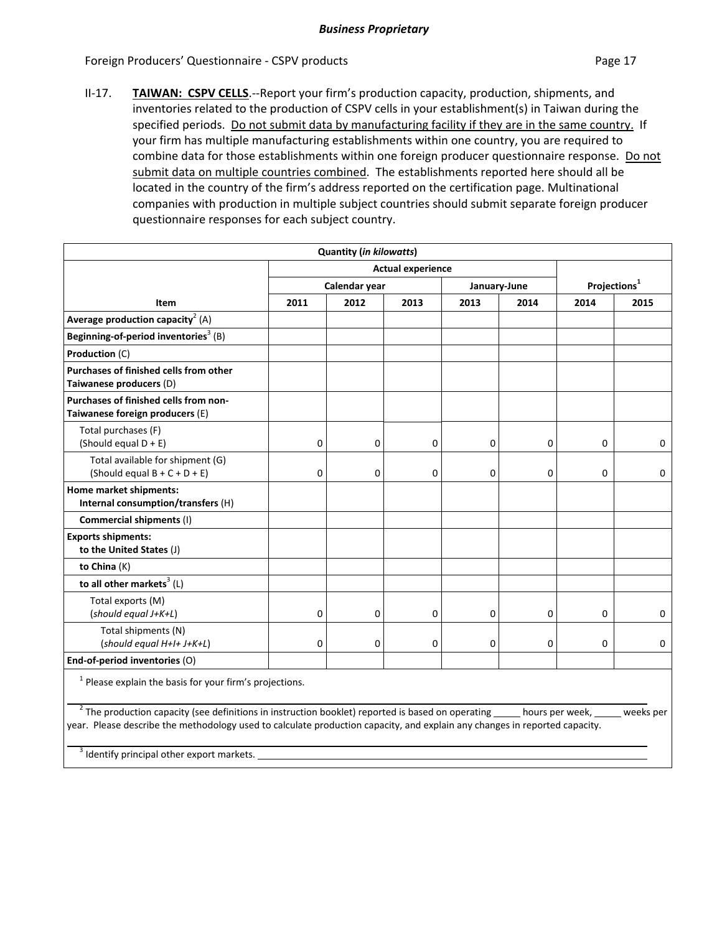Foreign Producers' Questionnaire - CSPV products **Page 17** and the page 17

II‐17. **TAIWAN: CSPV CELLS**.‐‐Report your firm's production capacity, production, shipments, and inventories related to the production of CSPV cells in your establishment(s) in Taiwan during the specified periods. Do not submit data by manufacturing facility if they are in the same country. If your firm has multiple manufacturing establishments within one country, you are required to combine data for those establishments within one foreign producer questionnaire response. Do not submit data on multiple countries combined. The establishments reported here should all be located in the country of the firm's address reported on the certification page. Multinational companies with production in multiple subject countries should submit separate foreign producer questionnaire responses for each subject country.

| 2011                                                      | Calendar year<br>2012 | <b>Actual experience</b><br>2013 | January-June<br>2013 | 2014 |      |                                                                                                                                                                                                                                                                                  |  |
|-----------------------------------------------------------|-----------------------|----------------------------------|----------------------|------|------|----------------------------------------------------------------------------------------------------------------------------------------------------------------------------------------------------------------------------------------------------------------------------------|--|
|                                                           |                       |                                  |                      |      |      |                                                                                                                                                                                                                                                                                  |  |
|                                                           |                       |                                  |                      |      |      | Projections <sup>1</sup>                                                                                                                                                                                                                                                         |  |
|                                                           |                       |                                  |                      |      | 2014 | 2015                                                                                                                                                                                                                                                                             |  |
|                                                           |                       |                                  |                      |      |      |                                                                                                                                                                                                                                                                                  |  |
|                                                           |                       |                                  |                      |      |      |                                                                                                                                                                                                                                                                                  |  |
|                                                           |                       |                                  |                      |      |      |                                                                                                                                                                                                                                                                                  |  |
|                                                           |                       |                                  |                      |      |      |                                                                                                                                                                                                                                                                                  |  |
|                                                           |                       |                                  |                      |      |      |                                                                                                                                                                                                                                                                                  |  |
| $\mathbf 0$                                               | $\mathbf 0$           | 0                                | $\mathbf 0$          | 0    | 0    | 0                                                                                                                                                                                                                                                                                |  |
| $\mathbf 0$                                               | $\mathbf 0$           | 0                                | $\mathbf 0$          | 0    | 0    | 0                                                                                                                                                                                                                                                                                |  |
|                                                           |                       |                                  |                      |      |      |                                                                                                                                                                                                                                                                                  |  |
|                                                           |                       |                                  |                      |      |      |                                                                                                                                                                                                                                                                                  |  |
|                                                           |                       |                                  |                      |      |      |                                                                                                                                                                                                                                                                                  |  |
|                                                           |                       |                                  |                      |      |      |                                                                                                                                                                                                                                                                                  |  |
|                                                           |                       |                                  |                      |      |      |                                                                                                                                                                                                                                                                                  |  |
| 0                                                         | 0                     | 0                                | 0                    | 0    | 0    | 0                                                                                                                                                                                                                                                                                |  |
| $\mathbf 0$                                               | $\mathbf 0$           | 0                                | 0                    | 0    | 0    | 0                                                                                                                                                                                                                                                                                |  |
|                                                           |                       |                                  |                      |      |      |                                                                                                                                                                                                                                                                                  |  |
| $1$ Please explain the basis for your firm's projections. |                       |                                  |                      |      |      |                                                                                                                                                                                                                                                                                  |  |
|                                                           |                       |                                  |                      |      |      |                                                                                                                                                                                                                                                                                  |  |
|                                                           |                       |                                  |                      |      |      | <sup>2</sup> The production capacity (see definitions in instruction booklet) reported is based on operating _____ hours per week, _____ weeks per<br>year. Please describe the methodology used to calculate production capacity, and explain any changes in reported capacity. |  |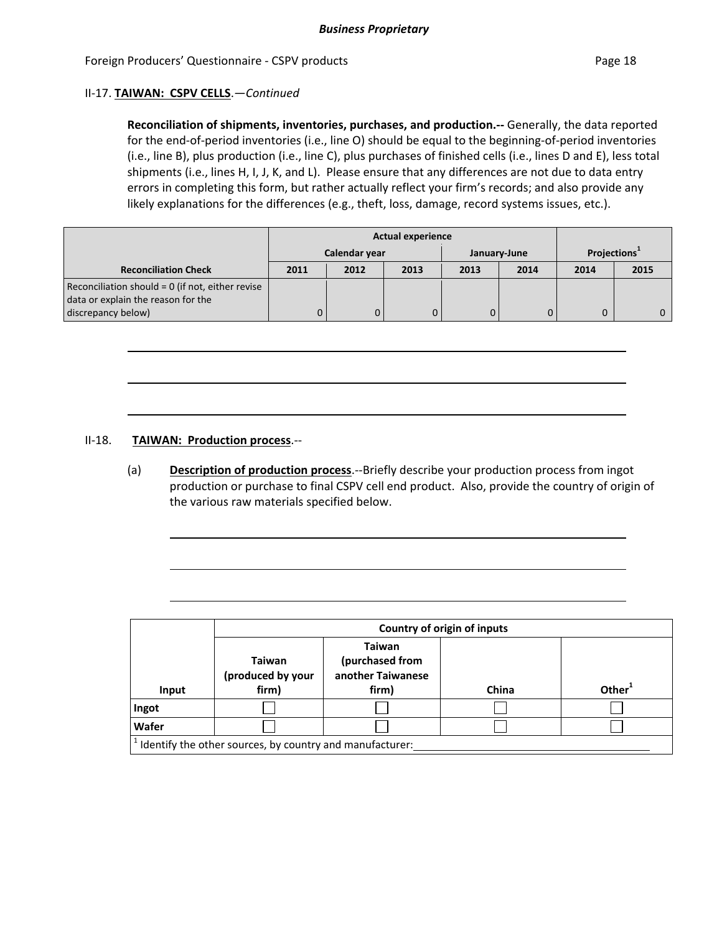#### II‐17. **TAIWAN: CSPV CELLS**.—*Continued*

**Reconciliation of shipments, inventories, purchases, and production.‐‐** Generally, the data reported for the end-of-period inventories (i.e., line O) should be equal to the beginning-of-period inventories (i.e., line B), plus production (i.e., line C), plus purchases of finished cells (i.e., lines D and E), less total shipments (i.e., lines H, I, J, K, and L). Please ensure that any differences are not due to data entry errors in completing this form, but rather actually reflect your firm's records; and also provide any likely explanations for the differences (e.g., theft, loss, damage, record systems issues, etc.).

|                                                  |               |      | <b>Actual experience</b> |              |      |                          |      |
|--------------------------------------------------|---------------|------|--------------------------|--------------|------|--------------------------|------|
|                                                  | Calendar year |      |                          | January-June |      | Projections <sup>+</sup> |      |
| <b>Reconciliation Check</b>                      | 2011          | 2012 | 2013                     | 2013         | 2014 | 2014                     | 2015 |
| Reconciliation should = 0 (if not, either revise |               |      |                          |              |      |                          |      |
| data or explain the reason for the               |               |      |                          |              |      |                          |      |
| discrepancy below)                               |               | 0    |                          |              |      |                          |      |

#### II‐18. **TAIWAN: Production process**.‐‐

(a) **Description of production process**.‐‐Briefly describe your production process from ingot production or purchase to final CSPV cell end product. Also, provide the country of origin of the various raw materials specified below.

|                                                          | Country of origin of inputs                 |                                                                |       |           |  |  |  |  |
|----------------------------------------------------------|---------------------------------------------|----------------------------------------------------------------|-------|-----------|--|--|--|--|
| Input                                                    | <b>Taiwan</b><br>(produced by your<br>firm) | <b>Taiwan</b><br>(purchased from<br>another Taiwanese<br>firm) | China | Other $1$ |  |  |  |  |
| Ingot                                                    |                                             |                                                                |       |           |  |  |  |  |
| Wafer                                                    |                                             |                                                                |       |           |  |  |  |  |
| Identify the other sources, by country and manufacturer: |                                             |                                                                |       |           |  |  |  |  |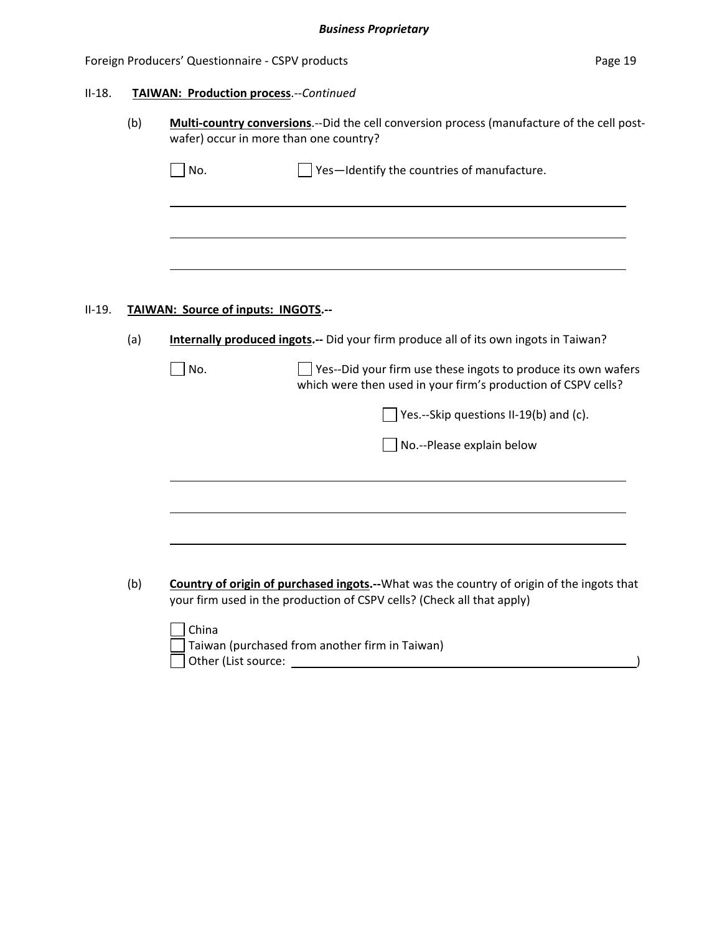#### Foreign Producers' Questionnaire - CSPV products example to the control of the Page 19

#### II‐18. **TAIWAN: Production process**.‐‐*Continued*

(b) **Multi‐country conversions**.‐‐Did the cell conversion process (manufacture of the cell post‐ wafer) occur in more than one country?

| $\Box$ No.<br>$\Box$ Yes-Identify the countries of manufacture. |  |
|-----------------------------------------------------------------|--|
|-----------------------------------------------------------------|--|

#### II‐19. **TAIWAN: Source of inputs: INGOTS.‐‐**

(a) **Internally produced ingots.‐‐** Did your firm produce all of its own ingots in Taiwan?

No. Yes‐‐Did your firm use these ingots to produce its own wafers which were then used in your firm's production of CSPV cells?

 $\Box$  Yes.--Skip questions II-19(b) and (c).

No.‐‐Please explain below

(b) **Country of origin of purchased ingots.‐‐**What was the country of origin of the ingots that your firm used in the production of CSPV cells? (Check all that apply)

| China                                                  |  |
|--------------------------------------------------------|--|
| $\vert$ Taiwan (purchased from another firm in Taiwan) |  |
| Other (List source:                                    |  |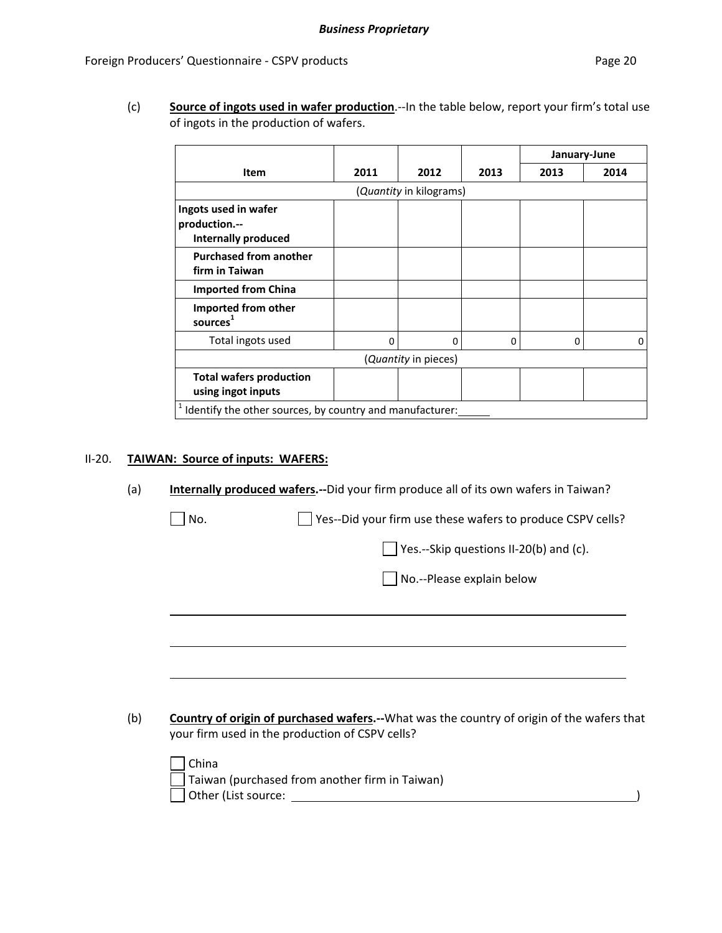(c) **Source of ingots used in wafer production**.‐‐In the table below, report your firm's total use of ingots in the production of wafers.

|                                                          |          |                         |      |      | January-June |  |  |
|----------------------------------------------------------|----------|-------------------------|------|------|--------------|--|--|
| <b>Item</b>                                              | 2011     | 2012                    | 2013 | 2013 | 2014         |  |  |
|                                                          |          | (Quantity in kilograms) |      |      |              |  |  |
| Ingots used in wafer                                     |          |                         |      |      |              |  |  |
| production.--<br><b>Internally produced</b>              |          |                         |      |      |              |  |  |
|                                                          |          |                         |      |      |              |  |  |
| <b>Purchased from another</b><br>firm in Taiwan          |          |                         |      |      |              |  |  |
| <b>Imported from China</b>                               |          |                         |      |      |              |  |  |
| Imported from other<br>sources <sup>1</sup>              |          |                         |      |      |              |  |  |
| Total ingots used                                        | $\Omega$ | $\Omega$                | 0    | 0    | 0            |  |  |
| (Quantity in pieces)                                     |          |                         |      |      |              |  |  |
| <b>Total wafers production</b><br>using ingot inputs     |          |                         |      |      |              |  |  |
| Identify the other sources, by country and manufacturer: |          |                         |      |      |              |  |  |

#### II‐20. **TAIWAN: Source of inputs: WAFERS:**

(a) **Internally produced wafers.‐‐**Did your firm produce all of its own wafers in Taiwan?

 $\Box$  No.  $\Box$  Yes--Did your firm use these wafers to produce CSPV cells?

 $\Box$  Yes.--Skip questions II-20(b) and (c).

No.‐‐Please explain below

(b) **Country of origin of purchased wafers.‐‐**What was the country of origin of the wafers that your firm used in the production of CSPV cells?

| China                                          |  |
|------------------------------------------------|--|
| Taiwan (purchased from another firm in Taiwan) |  |
| Other (List source:                            |  |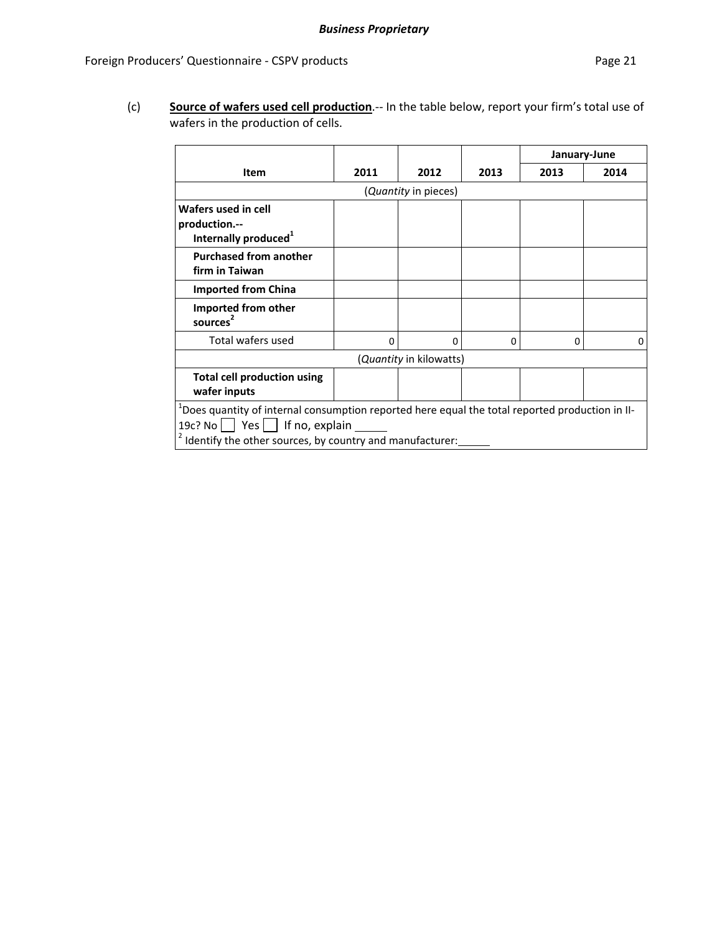(c) **Source of wafers used cell production**.‐‐ In the table below, report your firm's total use of wafers in the production of cells.

|                                                                                                                                                                                                                                |      |                                 |          | January-June |      |  |  |  |
|--------------------------------------------------------------------------------------------------------------------------------------------------------------------------------------------------------------------------------|------|---------------------------------|----------|--------------|------|--|--|--|
| <b>Item</b>                                                                                                                                                                                                                    | 2011 | 2012                            | 2013     | 2013         | 2014 |  |  |  |
| ( <i>Quantity</i> in pieces)                                                                                                                                                                                                   |      |                                 |          |              |      |  |  |  |
| Wafers used in cell<br>production.--<br>Internally produced <sup>1</sup>                                                                                                                                                       |      |                                 |          |              |      |  |  |  |
| <b>Purchased from another</b><br>firm in Taiwan                                                                                                                                                                                |      |                                 |          |              |      |  |  |  |
| <b>Imported from China</b>                                                                                                                                                                                                     |      |                                 |          |              |      |  |  |  |
| Imported from other<br>sources <sup>2</sup>                                                                                                                                                                                    |      |                                 |          |              |      |  |  |  |
| Total wafers used                                                                                                                                                                                                              | 0    | 0                               | $\Omega$ | 0            | 0    |  |  |  |
|                                                                                                                                                                                                                                |      | ( <i>Quantity</i> in kilowatts) |          |              |      |  |  |  |
| <b>Total cell production using</b><br>wafer inputs                                                                                                                                                                             |      |                                 |          |              |      |  |  |  |
| <sup>1</sup> Does quantity of internal consumption reported here equal the total reported production in II-<br>19 $c$ ? No     Yes     If no, explain<br><sup>2</sup> Identify the other sources, by country and manufacturer: |      |                                 |          |              |      |  |  |  |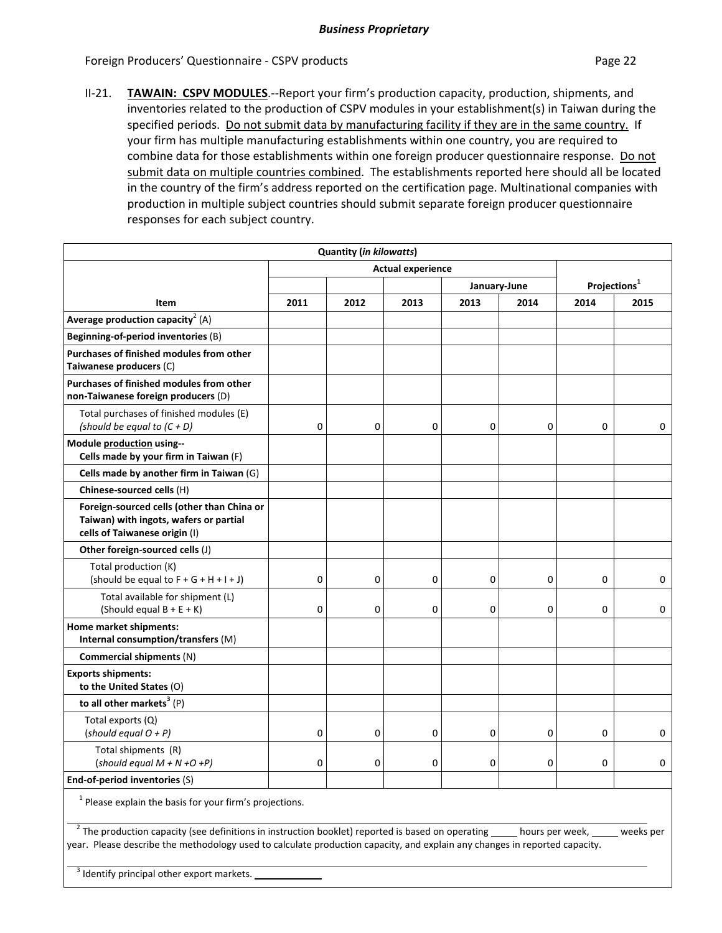Foreign Producers' Questionnaire - CSPV products **Page 22** and Page 22

II-21. **TAWAIN: CSPV MODULES**.--Report your firm's production capacity, production, shipments, and inventories related to the production of CSPV modules in your establishment(s) in Taiwan during the specified periods. Do not submit data by manufacturing facility if they are in the same country. If your firm has multiple manufacturing establishments within one country, you are required to combine data for those establishments within one foreign producer questionnaire response. Do not submit data on multiple countries combined. The establishments reported here should all be located in the country of the firm's address reported on the certification page. Multinational companies with production in multiple subject countries should submit separate foreign producer questionnaire responses for each subject country.

| <b>Quantity (in kilowatts)</b>                                                                                        |                          |             |             |              |             |                          |             |
|-----------------------------------------------------------------------------------------------------------------------|--------------------------|-------------|-------------|--------------|-------------|--------------------------|-------------|
|                                                                                                                       | <b>Actual experience</b> |             |             |              |             |                          |             |
|                                                                                                                       |                          |             |             | January-June |             | Projections <sup>1</sup> |             |
| Item                                                                                                                  | 2011                     | 2012        | 2013        | 2013         | 2014        | 2014                     | 2015        |
| Average production capacity <sup>2</sup> (A)                                                                          |                          |             |             |              |             |                          |             |
| Beginning-of-period inventories (B)                                                                                   |                          |             |             |              |             |                          |             |
| Purchases of finished modules from other<br>Taiwanese producers (C)                                                   |                          |             |             |              |             |                          |             |
| Purchases of finished modules from other<br>non-Taiwanese foreign producers (D)                                       |                          |             |             |              |             |                          |             |
| Total purchases of finished modules (E)<br>(should be equal to $(C + D)$                                              | $\mathbf 0$              | 0           | 0           | $\mathbf 0$  | 0           | 0                        | $\mathbf 0$ |
| Module production using--<br>Cells made by your firm in Taiwan (F)                                                    |                          |             |             |              |             |                          |             |
| Cells made by another firm in Taiwan (G)                                                                              |                          |             |             |              |             |                          |             |
| Chinese-sourced cells (H)                                                                                             |                          |             |             |              |             |                          |             |
| Foreign-sourced cells (other than China or<br>Taiwan) with ingots, wafers or partial<br>cells of Taiwanese origin (I) |                          |             |             |              |             |                          |             |
| Other foreign-sourced cells (J)                                                                                       |                          |             |             |              |             |                          |             |
| Total production (K)<br>(should be equal to $F + G + H + I + J$ )                                                     | $\mathbf 0$              | $\mathbf 0$ | 0           | $\mathbf 0$  | $\mathbf 0$ | $\mathbf 0$              | $\mathbf 0$ |
| Total available for shipment (L)<br>(Should equal $B + E + K$ )                                                       | $\mathbf 0$              | $\mathbf 0$ | $\mathbf 0$ | $\mathbf 0$  | $\mathbf 0$ | 0                        | 0           |
| Home market shipments:<br>Internal consumption/transfers (M)                                                          |                          |             |             |              |             |                          |             |
| Commercial shipments (N)                                                                                              |                          |             |             |              |             |                          |             |
| <b>Exports shipments:</b><br>to the United States (O)                                                                 |                          |             |             |              |             |                          |             |
| to all other markets <sup>3</sup> $(P)$                                                                               |                          |             |             |              |             |                          |             |
| Total exports (Q)<br>(should equal $O + P$ )                                                                          | $\mathbf 0$              | $\mathbf 0$ | $\mathbf 0$ | $\mathbf 0$  | $\mathbf 0$ | $\Omega$                 | $\Omega$    |
| Total shipments (R)<br>(should equal $M + N + O + P$ )                                                                | $\mathbf 0$              | 0           | $\mathbf 0$ | 0            | 0           | $\mathbf 0$              | $\mathbf 0$ |
| End-of-period inventories (S)                                                                                         |                          |             |             |              |             |                          |             |

 $1$  Please explain the basis for your firm's projections.

 $^{-2}$  The production capacity (see definitions in instruction booklet) reported is based on operating same hours per week, success per year. Please describe the methodology used to calculate production capacity, and explain any changes in reported capacity.

 <sup>3</sup> Identify principal other export markets.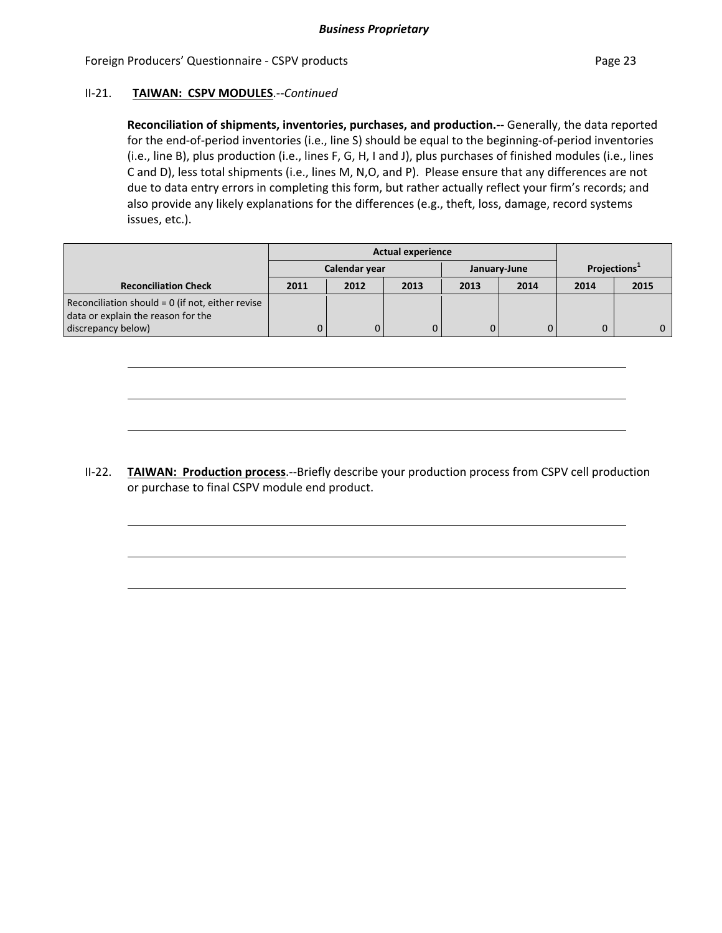#### Foreign Producers' Questionnaire - CSPV products **Page 23** Page 23

#### II‐21. **TAIWAN: CSPV MODULES**.‐‐*Continued*

**Reconciliation of shipments, inventories, purchases, and production.‐‐** Generally, the data reported for the end‐of‐period inventories (i.e., line S) should be equal to the beginning‐of‐period inventories (i.e., line B), plus production (i.e., lines F, G, H, I and J), plus purchases of finished modules (i.e., lines C and D), less total shipments (i.e., lines M, N,O, and P). Please ensure that any differences are not due to data entry errors in completing this form, but rather actually reflect your firm's records; and also provide any likely explanations for the differences (e.g., theft, loss, damage, record systems issues, etc.).

|                                                                                        | <b>Actual experience</b> |               |      |      |              |                          |      |
|----------------------------------------------------------------------------------------|--------------------------|---------------|------|------|--------------|--------------------------|------|
|                                                                                        |                          | Calendar year |      |      | January-June | Projections <sup>1</sup> |      |
| <b>Reconciliation Check</b>                                                            | 2011                     | 2012          | 2013 | 2013 | 2014         | 2014                     | 2015 |
| Reconciliation should = 0 (if not, either revise<br>data or explain the reason for the |                          |               |      |      |              |                          |      |
| discrepancy below)                                                                     |                          | $\mathbf{0}$  | 0    |      |              |                          |      |

II‐22. **TAIWAN: Production process**.‐‐Briefly describe your production process from CSPV cell production or purchase to final CSPV module end product.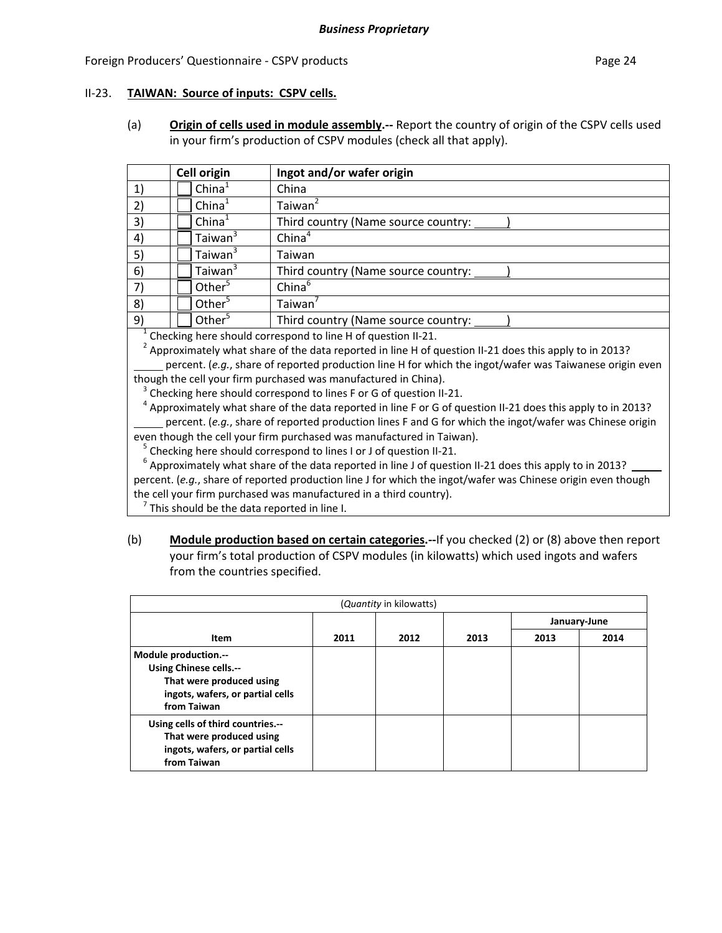#### Foreign Producers' Questionnaire - CSPV products **Page 24** and the page 24

#### II‐23. **TAIWAN: Source of inputs: CSPV cells.**

(a) **Origin of cells used in module assembly.‐‐** Report the country of origin of the CSPV cells used in your firm's production of CSPV modules (check all that apply).

|              | Cell origin         | Ingot and/or wafer origin                                                |
|--------------|---------------------|--------------------------------------------------------------------------|
| $\mathbf{1}$ | China <sup>1</sup>  | China                                                                    |
| 2)           | China <sup>1</sup>  | Taiwan <sup>4</sup>                                                      |
| 3)           | China <sup>1</sup>  | Third country (Name source country:                                      |
| 4)           | Taiwan <sup>3</sup> | China <sup>4</sup>                                                       |
| 5)           | Taiwan <sup>3</sup> | Taiwan                                                                   |
| 6)           | Taiwan <sup>3</sup> | Third country (Name source country:                                      |
| 7)           | Other $5$           | China <sup>6</sup>                                                       |
| 8)           | Other $5$           | Taiwan $'$                                                               |
| 9)           | Other <sup>5</sup>  | Third country (Name source country:                                      |
|              |                     | $\pm$ Chaeline beare also uld componented to line U.A. in factor in $21$ |

<sup>1</sup> Checking here should correspond to line H of question II-21.<br><sup>2</sup> Approximately what share of the data reported in line H of question II-21 does this apply to in 2013? percent. (*e.g.*, share of reported production line H for which the ingot/wafer was Taiwanese origin even

though the cell your firm purchased was manufactured in China).<br><sup>3</sup> Checking here should correspond to lines F or G of question II-21.<br><sup>4</sup> Approximately what share of the data reported in line F or G of question II-21 does percent. (*e.g.*, share of reported production lines F and G for which the ingot/wafer was Chinese origin

even though the cell your firm purchased was manufactured in Taiwan).<br><sup>5</sup> Checking here should correspond to lines I or J of question II-21.<br><sup>6</sup> Approximately what share of the data reported in line J of question II-21 doe percent. (*e.g.*, share of reported production line J for which the ingot/wafer was Chinese origin even though the cell your firm purchased was manufactured in a third country).<br><sup>7</sup> This should be the data reported in line I.

(b) **Module production based on certain categories.‐‐**If you checked (2) or (8) above then report your firm's total production of CSPV modules (in kilowatts) which used ingots and wafers from the countries specified.

| (Quantity in kilowatts)                                                                                                              |      |      |      |              |      |  |  |  |
|--------------------------------------------------------------------------------------------------------------------------------------|------|------|------|--------------|------|--|--|--|
|                                                                                                                                      |      |      |      | January-June |      |  |  |  |
| Item                                                                                                                                 | 2011 | 2012 | 2013 | 2013         | 2014 |  |  |  |
| Module production.--<br><b>Using Chinese cells.--</b><br>That were produced using<br>ingots, wafers, or partial cells<br>from Taiwan |      |      |      |              |      |  |  |  |
| Using cells of third countries.--<br>That were produced using<br>ingots, wafers, or partial cells<br>from Taiwan                     |      |      |      |              |      |  |  |  |